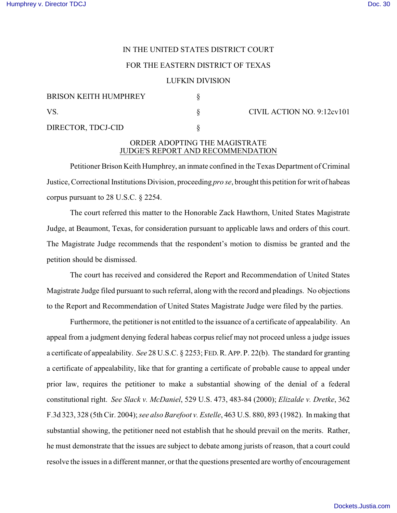# IN THE UNITED STATES DISTRICT COURT

### FOR THE EASTERN DISTRICT OF TEXAS

#### LUFKIN DIVISION

| <b>BRISON KEITH HUMPHREY</b> |  |
|------------------------------|--|
| VS.                          |  |
| DIRECTOR, TDCJ-CID           |  |

 $\S$  CIVIL ACTION NO. 9:12cv101

# ORDER ADOPTING THE MAGISTRATE JUDGE'S REPORT AND RECOMMENDATION

Petitioner Brison Keith Humphrey, an inmate confined in the Texas Department of Criminal Justice, Correctional Institutions Division, proceeding *pro se*, brought this petition for writ of habeas corpus pursuant to 28 U.S.C. § 2254.

The court referred this matter to the Honorable Zack Hawthorn, United States Magistrate Judge, at Beaumont, Texas, for consideration pursuant to applicable laws and orders of this court. The Magistrate Judge recommends that the respondent's motion to dismiss be granted and the petition should be dismissed.

The court has received and considered the Report and Recommendation of United States Magistrate Judge filed pursuant to such referral, along with the record and pleadings. No objections to the Report and Recommendation of United States Magistrate Judge were filed by the parties.

Furthermore, the petitioner is not entitled to the issuance of a certificate of appealability. An appeal from a judgment denying federal habeas corpus relief may not proceed unless a judge issues a certificate of appealability. *See* 28 U.S.C. § 2253; FED.R.APP.P. 22(b). The standard for granting a certificate of appealability, like that for granting a certificate of probable cause to appeal under prior law, requires the petitioner to make a substantial showing of the denial of a federal constitutional right. *See Slack v. McDaniel*, 529 U.S. 473, 483-84 (2000); *Elizalde v. Dretke*, 362 F.3d 323, 328 (5th Cir. 2004); *see also Barefoot v. Estelle*, 463 U.S. 880, 893 (1982). In making that substantial showing, the petitioner need not establish that he should prevail on the merits. Rather, he must demonstrate that the issues are subject to debate among jurists of reason, that a court could resolve the issues in a different manner, or that the questions presented are worthy of encouragement